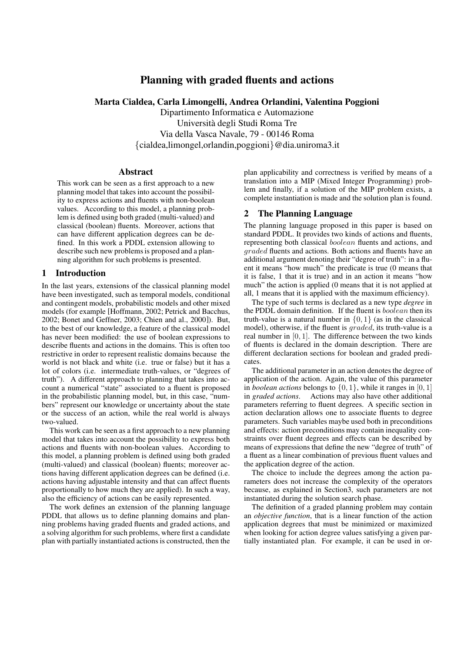# **Planning with graded fluents and actions**

# **Marta Cialdea, Carla Limongelli, Andrea Orlandini, Valentina Poggioni**

Dipartimento Informatica e Automazione Universita` degli Studi Roma Tre Via della Vasca Navale, 79 - 00146 Roma {cialdea,limongel,orlandin,poggioni}@dia.uniroma3.it

### **Abstract**

This work can be seen as a first approach to a new planning model that takes into account the possibility to express actions and fluents with non-boolean values. According to this model, a planning problem is defined using both graded (multi-valued) and classical (boolean) fluents. Moreover, actions that can have different application degrees can be defined. In this work a PDDL extension allowing to describe such new problemsis proposed and a planning algorithm for such problems is presented.

## **1 Introduction**

In the last years, extensions of the classical planning model have been investigated, such as temporal models, conditional and contingent models, probabilistic models and other mixed models (for example [Hoffmann, 2002; Petrick and Bacchus, 2002; Bonet and Geffner, 2003; Chien and al., 2000]). But, to the best of our knowledge, a feature of the classical model has never been modified: the use of boolean expressions to describe fluents and actions in the domains. This is often too restrictive in order to represent realistic domains because the world is not black and white (i.e. true or false) but it has a lot of colors (i.e. intermediate truth-values, or "degrees of truth"). A different approach to planning that takes into account a numerical "state" associated to a fluent is proposed in the probabilistic planning model, but, in this case, "numbers" represent our knowledge or uncertainty about the state or the success of an action, while the real world is always two-valued.

This work can be seen as a first approach to a new planning model that takes into account the possibility to express both actions and fluents with non-boolean values. According to this model, a planning problem is defined using both graded (multi-valued) and classical (boolean) fluents; moreover actions having different application degrees can be defined (i.e. actions having adjustable intensity and that can affect fluents proportionally to how much they are applied). In such a way, also the efficiency of actions can be easily represented.

The work defines an extension of the planning language PDDL that allows us to define planning domains and planning problems having graded fluents and graded actions, and a solving algorithm for such problems, where first a candidate plan with partially instantiated actions is constructed, then the plan applicability and correctness is verified by means of a translation into a MIP (Mixed Integer Programming) problem and finally, if a solution of the MIP problem exists, a complete instantiation is made and the solution plan is found.

# **2 The Planning Language**

The planning language proposed in this paper is based on standard PDDL. It provides two kinds of actions and fluents, representing both classical boolean fluents and actions, and graded fluents and actions. Both actions and fluents have an additional argument denoting their "degree of truth": in a fluent it means "how much" the predicate is true (0 means that it is false, 1 that it is true) and in an action it means "how much" the action is applied (0 means that it is not applied at all, 1 means that it is applied with the maximum efficiency).

The type of such terms is declared as a new type *degree* in the PDDL domain definition. If the fluent is *boolean* then its truth-value is a natural number in  $\{0, 1\}$  (as in the classical model), otherwise, if the fluent is *graded*, its truth-value is a real number in [0, 1]. The difference between the two kinds of fluents is declared in the domain description. There are different declaration sections for boolean and graded predicates.

The additional parameter in an action denotes the degree of application of the action. Again, the value of this parameter in *boolean actions* belongs to  $\{0, 1\}$ , while it ranges in  $[0, 1]$ in *graded actions*. Actions may also have other additional parameters referring to fluent degrees. A specific section in action declaration allows one to associate fluents to degree parameters. Such variables maybe used both in preconditions and effects: action preconditions may contain inequality constraints over fluent degrees and effects can be described by means of expressions that define the new "degree of truth" of a fluent as a linear combination of previous fluent values and the application degree of the action.

The choice to include the degrees among the action parameters does not increase the complexity of the operators because, as explained in Section3, such parameters are not instantiated during the solution search phase.

The definition of a graded planning problem may contain an *objective function*, that is a linear function of the action application degrees that must be minimized or maximized when looking for action degree values satisfying a given partially instantiated plan. For example, it can be used in or-